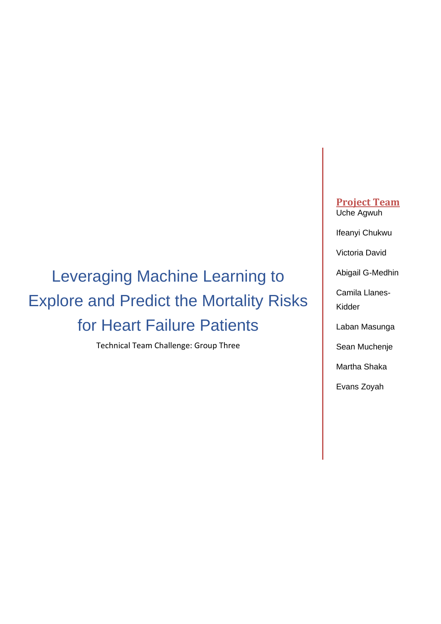# Leveraging Machine Learning to Explore and Predict the Mortality Risks for Heart Failure Patients

Technical Team Challenge: Group Three

**Project Team** Uche Agwuh

Ifeanyi Chukwu

Victoria David

Abigail G-Medhin

Camila Llanes-Kidder

Laban Masunga

Sean Muchenje

Martha Shaka

Evans Zoyah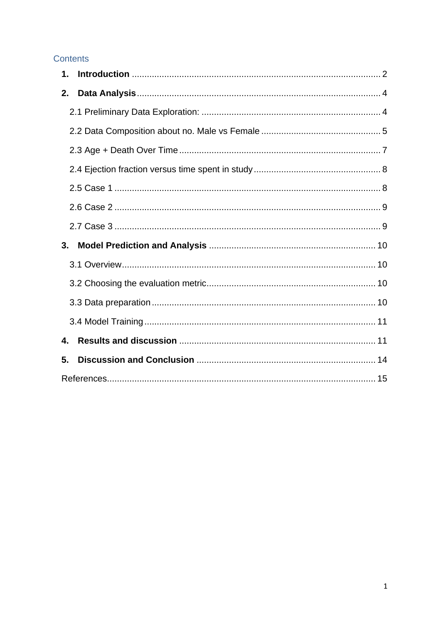## Contents

| 1. |  |
|----|--|
| 2. |  |
|    |  |
|    |  |
|    |  |
|    |  |
|    |  |
|    |  |
|    |  |
| 3. |  |
|    |  |
|    |  |
|    |  |
|    |  |
| 4. |  |
| 5. |  |
|    |  |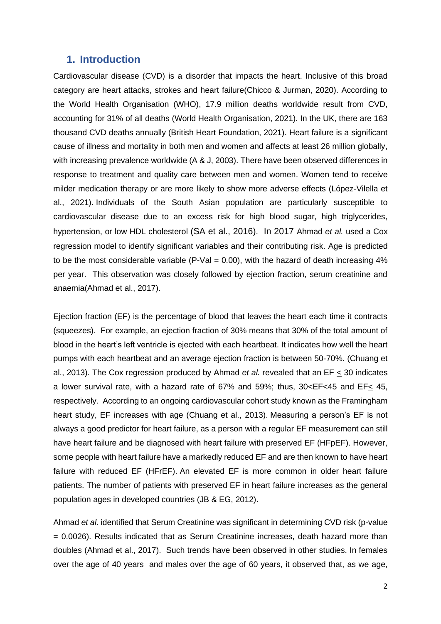#### <span id="page-2-0"></span>**1. Introduction**

Cardiovascular disease (CVD) is a disorder that impacts the heart. Inclusive of this broad category are heart attacks, strokes and heart failure(Chicco & Jurman, 2020). According to the World Health Organisation (WHO), 17.9 million deaths worldwide result from CVD, accounting for 31% of all deaths (World Health Organisation, 2021). In the UK, there are 163 thousand CVD deaths annually (British Heart Foundation, 2021). Heart failure is a significant cause of illness and mortality in both men and women and affects at least 26 million globally, with increasing prevalence worldwide (A & J, 2003). There have been observed differences in response to treatment and quality care between men and women. Women tend to receive milder medication therapy or are more likely to show more adverse effects (López-Vilella et al., 2021). Individuals of the South Asian population are particularly susceptible to cardiovascular disease due to an excess risk for high blood sugar, high triglycerides, hypertension, or low HDL cholesterol (SA et al., 2016). In 2017 Ahmad *et al.* used a Cox regression model to identify significant variables and their contributing risk. Age is predicted to be the most considerable variable (P-Val =  $0.00$ ), with the hazard of death increasing 4% per year. This observation was closely followed by ejection fraction, serum creatinine and anaemia(Ahmad et al., 2017).

Ejection fraction (EF) is the percentage of blood that leaves the heart each time it contracts (squeezes). For example, an ejection fraction of 30% means that 30% of the total amount of blood in the heart's left ventricle is ejected with each heartbeat. It indicates how well the heart pumps with each heartbeat and an average ejection fraction is between 50-70%. (Chuang et al., 2013). The Cox regression produced by Ahmad *et al.* revealed that an EF < 30 indicates a lower survival rate, with a hazard rate of 67% and 59%; thus, 30<EF<45 and EF< 45, respectively. According to an ongoing cardiovascular cohort study known as the Framingham heart study, EF increases with age (Chuang et al., 2013). Measuring a person's EF is not always a good predictor for heart failure, as a person with a regular EF measurement can still have heart failure and be diagnosed with heart failure with preserved EF (HFpEF). However, some people with heart failure have a markedly reduced EF and are then known to have heart failure with reduced EF (HFrEF). An elevated EF is more common in older heart failure patients. The number of patients with preserved EF in heart failure increases as the general population ages in developed countries (JB & EG, 2012).

Ahmad *et al.* identified that Serum Creatinine was significant in determining CVD risk (p-value = 0.0026). Results indicated that as Serum Creatinine increases, death hazard more than doubles (Ahmad et al., 2017). Such trends have been observed in other studies. In females over the age of 40 years and males over the age of 60 years, it observed that, as we age,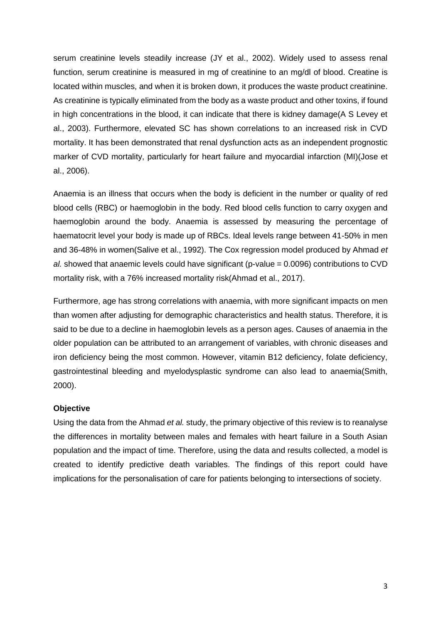serum creatinine levels steadily increase (JY et al., 2002). Widely used to assess renal function, serum creatinine is measured in mg of creatinine to an mg/dl of blood. Creatine is located within muscles, and when it is broken down, it produces the waste product creatinine. As creatinine is typically eliminated from the body as a waste product and other toxins, if found in high concentrations in the blood, it can indicate that there is kidney damage(A S Levey et al., 2003). Furthermore, elevated SC has shown correlations to an increased risk in CVD mortality. It has been demonstrated that renal dysfunction acts as an independent prognostic marker of CVD mortality, particularly for heart failure and myocardial infarction (MI)(Jose et al., 2006).

Anaemia is an illness that occurs when the body is deficient in the number or quality of red blood cells (RBC) or haemoglobin in the body. Red blood cells function to carry oxygen and haemoglobin around the body. Anaemia is assessed by measuring the percentage of haematocrit level your body is made up of RBCs. Ideal levels range between 41-50% in men and 36-48% in women(Salive et al., 1992). The Cox regression model produced by Ahmad *et al.* showed that anaemic levels could have significant (p-value = 0.0096) contributions to CVD mortality risk, with a 76% increased mortality risk(Ahmad et al., 2017).

Furthermore, age has strong correlations with anaemia, with more significant impacts on men than women after adjusting for demographic characteristics and health status. Therefore, it is said to be due to a decline in haemoglobin levels as a person ages. Causes of anaemia in the older population can be attributed to an arrangement of variables, with chronic diseases and iron deficiency being the most common. However, vitamin B12 deficiency, folate deficiency, gastrointestinal bleeding and myelodysplastic syndrome can also lead to anaemia(Smith, 2000).

#### **Objective**

Using the data from the Ahmad *et al.* study, the primary objective of this review is to reanalyse the differences in mortality between males and females with heart failure in a South Asian population and the impact of time. Therefore, using the data and results collected, a model is created to identify predictive death variables. The findings of this report could have implications for the personalisation of care for patients belonging to intersections of society.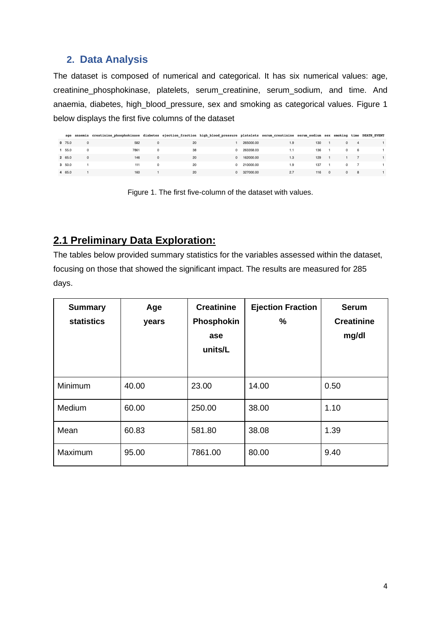## <span id="page-4-0"></span>**2. Data Analysis**

The dataset is composed of numerical and categorical. It has six numerical values: age, creatinine\_phosphokinase, platelets, serum\_creatinine, serum\_sodium, and time. And anaemia, diabetes, high\_blood\_pressure, sex and smoking as categorical values. Figure 1 below displays the first five columns of the dataset

|         |              | age anaemia creatinine phosphokinase diabetes ejection fraction high blood pressure platelets serum creatinine serum sodium sex smoking time DEATH EVENT |              |    |             |     |     |                |            |                |  |
|---------|--------------|----------------------------------------------------------------------------------------------------------------------------------------------------------|--------------|----|-------------|-----|-----|----------------|------------|----------------|--|
| 0, 75.0 | $\mathbf{0}$ | 582                                                                                                                                                      | $\mathbf{0}$ | 20 | 265000.00   | 1.9 | 130 |                | 0          | $\overline{4}$ |  |
| 1 55.0  | $\Omega$     | 7861                                                                                                                                                     | $\Omega$     | 38 | 0 263358.03 | 1.1 | 136 |                | $^{\circ}$ | 6              |  |
| 2 65.0  | $\Omega$     | 146                                                                                                                                                      | $\Omega$     | 20 | 0 162000.00 | 1.3 | 129 |                |            |                |  |
| 3 50.0  |              | 111                                                                                                                                                      | $\Omega$     | 20 | 0 210000.00 | 1.9 | 137 |                |            | $0 \t 7$       |  |
| 4 65.0  |              | 160                                                                                                                                                      |              | 20 | 0 327000.00 | 2.7 | 116 | $\overline{0}$ |            | $0$ 8          |  |

Figure 1. The first five-column of the dataset with values.

## <span id="page-4-1"></span>**2.1 Preliminary Data Exploration:**

The tables below provided summary statistics for the variables assessed within the dataset, focusing on those that showed the significant impact. The results are measured for 285 days.

| <b>Summary</b><br><b>statistics</b> | Age<br>years | <b>Creatinine</b><br>Phosphokin<br>ase<br>units/L | <b>Ejection Fraction</b><br>$\frac{0}{0}$ | <b>Serum</b><br><b>Creatinine</b><br>mg/dl |
|-------------------------------------|--------------|---------------------------------------------------|-------------------------------------------|--------------------------------------------|
| Minimum                             | 40.00        | 23.00                                             | 14.00                                     | 0.50                                       |
| Medium                              | 60.00        | 250.00                                            | 38.00                                     | 1.10                                       |
| Mean                                | 60.83        | 581.80                                            | 38.08                                     | 1.39                                       |
| Maximum                             | 95.00        | 7861.00                                           | 80.00                                     | 9.40                                       |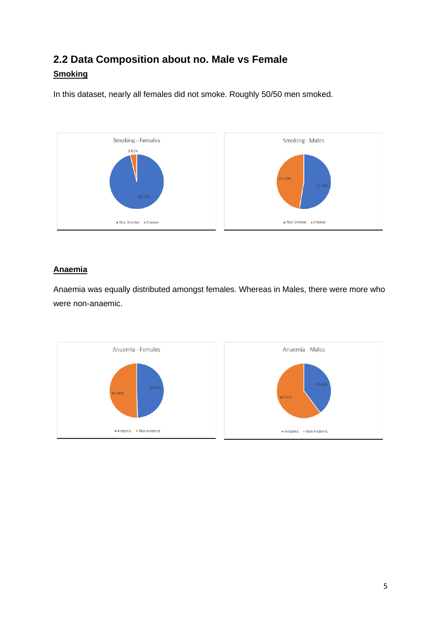# <span id="page-5-0"></span>**2.2 Data Composition about no. Male vs Female Smoking**

In this dataset, nearly all females did not smoke. Roughly 50/50 men smoked.



### **Anaemia**

Anaemia was equally distributed amongst females. Whereas in Males, there were more who were non-anaemic.

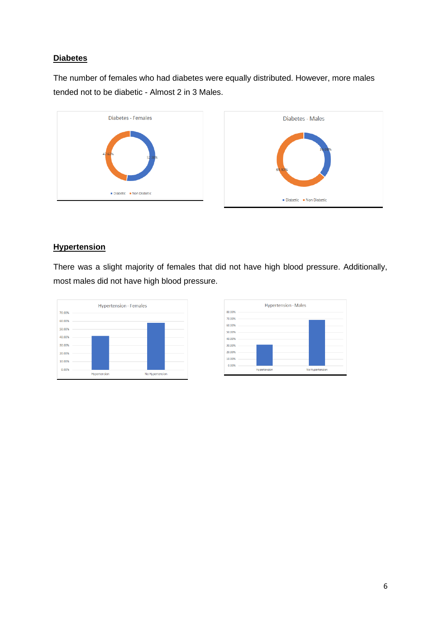#### **Diabetes**

The number of females who had diabetes were equally distributed. However, more males tended not to be diabetic - Almost 2 in 3 Males.



#### **Hypertension**

There was a slight majority of females that did not have high blood pressure. Additionally, most males did not have high blood pressure.



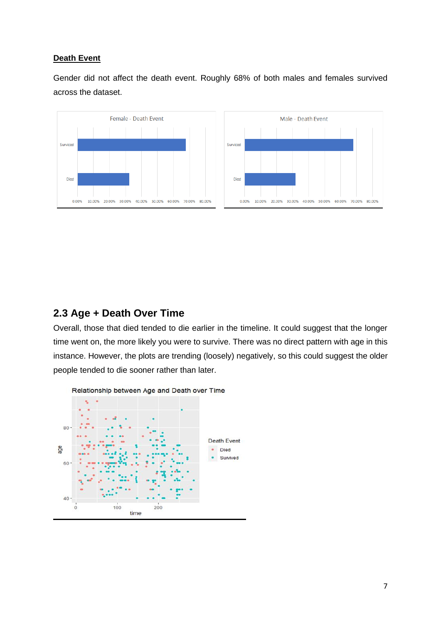#### **Death Event**

Gender did not affect the death event. Roughly 68% of both males and females survived across the dataset.



## <span id="page-7-0"></span>**2.3 Age + Death Over Time**

Overall, those that died tended to die earlier in the timeline. It could suggest that the longer time went on, the more likely you were to survive. There was no direct pattern with age in this instance. However, the plots are trending (loosely) negatively, so this could suggest the older people tended to die sooner rather than later.

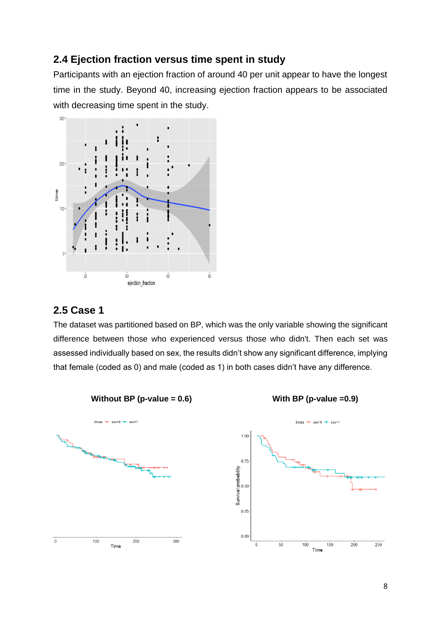## <span id="page-8-0"></span>**2.4 Ejection fraction versus time spent in study**

Participants with an ejection fraction of around 40 per unit appear to have the longest time in the study. Beyond 40, increasing ejection fraction appears to be associated with decreasing time spent in the study.



## <span id="page-8-1"></span>**2.5 Case 1**

The dataset was partitioned based on BP, which was the only variable showing the significant difference between those who experienced versus those who didn't. Then each set was assessed individually based on sex, the results didn't show any significant difference, implying that female (coded as 0) and male (coded as 1) in both cases didn't have any difference.

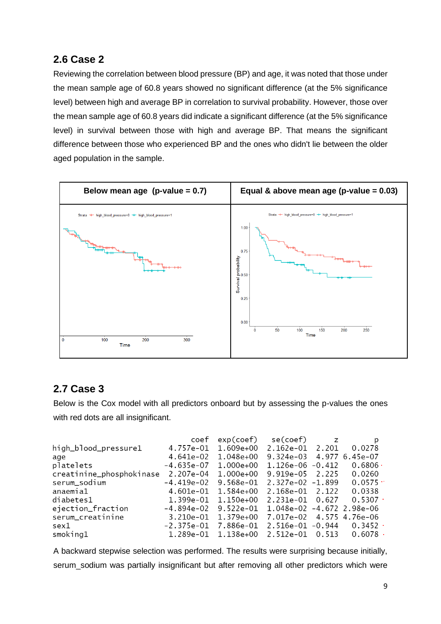## <span id="page-9-0"></span>**2.6 Case 2**

Reviewing the correlation between blood pressure (BP) and age, it was noted that those under the mean sample age of 60.8 years showed no significant difference (at the 5% significance level) between high and average BP in correlation to survival probability. However, those over the mean sample age of 60.8 years did indicate a significant difference (at the 5% significance level) in survival between those with high and average BP. That means the significant difference between those who experienced BP and the ones who didn't lie between the older aged population in the sample.



## <span id="page-9-1"></span>**2.7 Case 3**

Below is the Cox model with all predictors onboard but by assessing the p-values the ones with red dots are all insignificant.

|                          |                     | $\cot$ $\exp(\cot)$                      | se(coef)   z                        | p                |
|--------------------------|---------------------|------------------------------------------|-------------------------------------|------------------|
| high_blood_pressure1     | 4.757e-01           | $1.609e+00$                              | 2.162e-01 2.201                     | 0.0278           |
| age                      | 4.641e-02           | 1.048e+00                                | $9.324e-03$ 4.977 6.45e-07          |                  |
| platelets                | -4.635e-07          | 1.000e+00                                | $1.126e-06 -0.412$                  | $0.6806 \cdot$   |
| creatinine_phosphokinase | 2.207e-04 1.000e+00 |                                          | $9.919e-05$ 2.225                   | 0.0260           |
| serum_sodium             | -4.419e-02          | 9.568e-01                                | 2.327e-02 -1.899                    | $0.0575$ $\cdot$ |
| anaemia1                 | 4.601e-01           | 1.584e+00                                | 2.168e-01 2.122                     | 0.0338           |
| diabetes1                | 1.399e-01           | 1.150e+00                                | 2.231e-01 0.627                     | $0.5307$ $\cdot$ |
| ejection_fraction        | -4.894e-02          | 9.522e-01                                | 1.048e-02 -4.672 2.98e-06           |                  |
| serum_creatinine         | 3.210e-01           | $1.379e+00$                              | 7.017e-02 4.575 4.76e-06            |                  |
| sex1                     | -2.375e-01          | 7.886e-01                                | $2.516e-01$ $-0.944$ 0.3452 $\cdot$ |                  |
| smoking1                 | 1.289e-01           | $1.138e+00$ $2.512e-01$ $0.513$ $0.6078$ |                                     |                  |

A backward stepwise selection was performed. The results were surprising because initially, serum sodium was partially insignificant but after removing all other predictors which were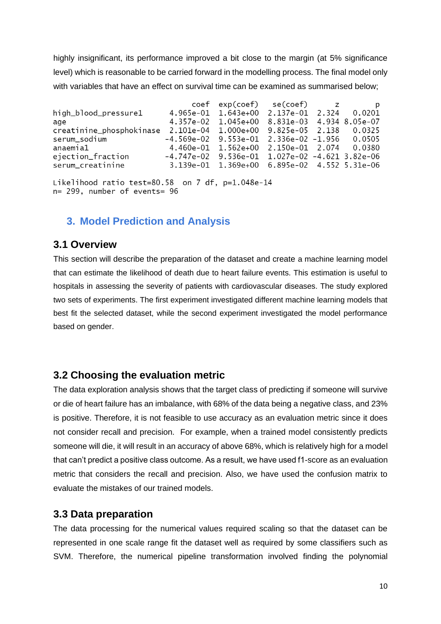highly insignificant, its performance improved a bit close to the margin (at 5% significance level) which is reasonable to be carried forward in the modelling process. The final model only with variables that have an effect on survival time can be examined as summarised below;

|                                                                          |                                                  | coef exp(coef) se(coef) z                        |  | . p |
|--------------------------------------------------------------------------|--------------------------------------------------|--------------------------------------------------|--|-----|
| high_blood_pressure1                                                     |                                                  | 4.965e-01 1.643e+00 2.137e-01 2.324 0.0201       |  |     |
| age                                                                      |                                                  | 4.357e-02 1.045e+00 8.831e-03 4.934 8.05e-07     |  |     |
| creatinine_phosphokinase  2.101e-04  1.000e+00  9.825e-05  2.138  0.0325 |                                                  |                                                  |  |     |
| serum_sodium                                                             | $-4.569e-02$ 9.553e-01 2.336e-02 -1.956 0.0505   |                                                  |  |     |
| anaemia1                                                                 |                                                  | 4.460e-01 1.562e+00 2.150e-01 2.074 0.0380       |  |     |
| ejection_fraction                                                        | $-4.747e-02$ 9.536e-01 1.027e-02 -4.621 3.82e-06 |                                                  |  |     |
| serum_creatinine                                                         |                                                  | 3.139e-01  1.369e+00  6.895e-02  4.552  5.31e-06 |  |     |
|                                                                          |                                                  |                                                  |  |     |

Likelihood ratio test=80.58 on 7 df, p=1.048e-14 n= 299, number of events= 96

## <span id="page-10-0"></span>**3. Model Prediction and Analysis**

### <span id="page-10-1"></span>**3.1 Overview**

This section will describe the preparation of the dataset and create a machine learning model that can estimate the likelihood of death due to heart failure events. This estimation is useful to hospitals in assessing the severity of patients with cardiovascular diseases. The study explored two sets of experiments. The first experiment investigated different machine learning models that best fit the selected dataset, while the second experiment investigated the model performance based on gender.

## <span id="page-10-2"></span>**3.2 Choosing the evaluation metric**

The data exploration analysis shows that the target class of predicting if someone will survive or die of heart failure has an imbalance, with 68% of the data being a negative class, and 23% is positive. Therefore, it is not feasible to use accuracy as an evaluation metric since it does not consider recall and precision. For example, when a trained model consistently predicts someone will die, it will result in an accuracy of above 68%, which is relatively high for a model that can't predict a positive class outcome. As a result, we have used f1-score as an evaluation metric that considers the recall and precision. Also, we have used the confusion matrix to evaluate the mistakes of our trained models.

### <span id="page-10-3"></span>**3.3 Data preparation**

The data processing for the numerical values required scaling so that the dataset can be represented in one scale range fit the dataset well as required by some classifiers such as SVM. Therefore, the numerical pipeline transformation involved finding the polynomial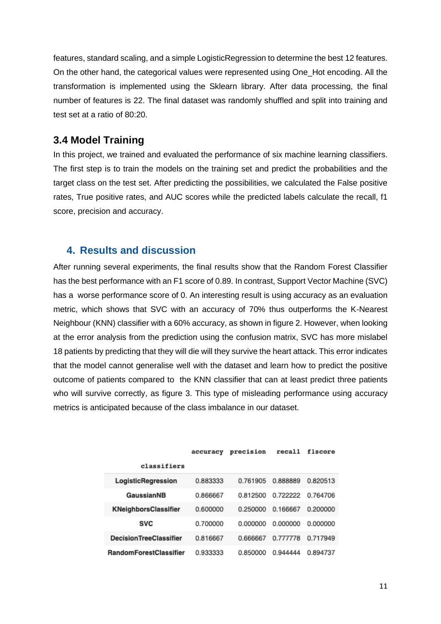features, standard scaling, and a simple LogisticRegression to determine the best 12 features. On the other hand, the categorical values were represented using One\_Hot encoding. All the transformation is implemented using the Sklearn library. After data processing, the final number of features is 22. The final dataset was randomly shuffled and split into training and test set at a ratio of 80:20.

#### <span id="page-11-0"></span>**3.4 Model Training**

In this project, we trained and evaluated the performance of six machine learning classifiers. The first step is to train the models on the training set and predict the probabilities and the target class on the test set. After predicting the possibilities, we calculated the False positive rates, True positive rates, and AUC scores while the predicted labels calculate the recall, f1 score, precision and accuracy.

#### <span id="page-11-1"></span>**4. Results and discussion**

After running several experiments, the final results show that the Random Forest Classifier has the best performance with an F1 score of 0.89. In contrast, Support Vector Machine (SVC) has a worse performance score of 0. An interesting result is using accuracy as an evaluation metric, which shows that SVC with an accuracy of 70% thus outperforms the K-Nearest Neighbour (KNN) classifier with a 60% accuracy, as shown in figure 2. However, when looking at the error analysis from the prediction using the confusion matrix, SVC has more mislabel 18 patients by predicting that they will die will they survive the heart attack. This error indicates that the model cannot generalise well with the dataset and learn how to predict the positive outcome of patients compared to the KNN classifier that can at least predict three patients who will survive correctly, as figure 3. This type of misleading performance using accuracy metrics is anticipated because of the class imbalance in our dataset.

|                               | accuracy | precision | recall   | flscore  |
|-------------------------------|----------|-----------|----------|----------|
| classifiers                   |          |           |          |          |
| LogisticRegression            | 0.883333 | 0.761905  | 0.888889 | 0.820513 |
| GaussianNB                    | 0.866667 | 0.812500  | 0.722222 | 0.764706 |
| <b>KNeighborsClassifier</b>   | 0.600000 | 0.250000  | 0.166667 | 0.200000 |
| <b>SVC</b>                    | 0.700000 | 0.000000  | 0.000000 | 0.000000 |
| <b>DecisionTreeClassifier</b> | 0.816667 | 0.666667  | 0.777778 | 0.717949 |
| <b>RandomForestClassifier</b> | 0.933333 | 0.850000  | 0.944444 | 0.894737 |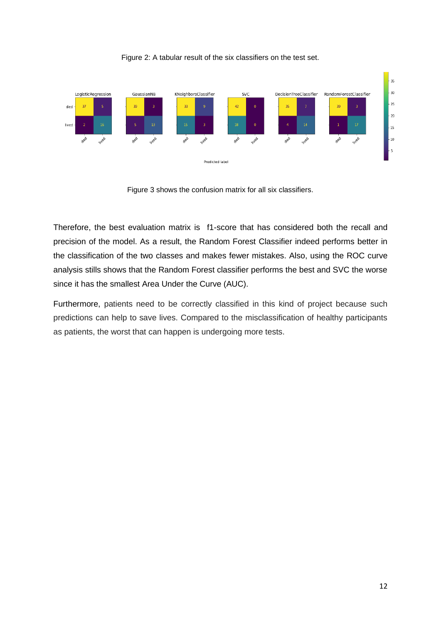

Figure 2: A tabular result of the six classifiers on the test set.

Figure 3 shows the confusion matrix for all six classifiers.

Therefore, the best evaluation matrix is f1-score that has considered both the recall and precision of the model. As a result, the Random Forest Classifier indeed performs better in the classification of the two classes and makes fewer mistakes. Also, using the ROC curve analysis stills shows that the Random Forest classifier performs the best and SVC the worse since it has the smallest Area Under the Curve (AUC).

Furthermore, patients need to be correctly classified in this kind of project because such predictions can help to save lives. Compared to the misclassification of healthy participants as patients, the worst that can happen is undergoing more tests.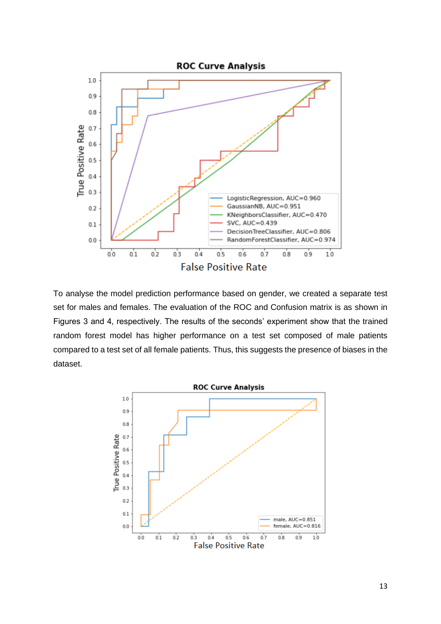

To analyse the model prediction performance based on gender, we created a separate test set for males and females. The evaluation of the ROC and Confusion matrix is as shown in Figures 3 and 4, respectively. The results of the seconds' experiment show that the trained random forest model has higher performance on a test set composed of male patients compared to a test set of all female patients. Thus, this suggests the presence of biases in the dataset.

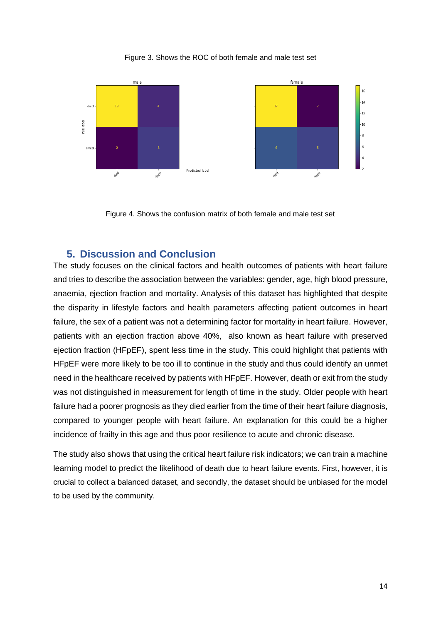#### Figure 3. Shows the ROC of both female and male test set



Figure 4. Shows the confusion matrix of both female and male test set

#### <span id="page-14-0"></span>**5. Discussion and Conclusion**

The study focuses on the clinical factors and health outcomes of patients with heart failure and tries to describe the association between the variables: gender, age, high blood pressure, anaemia, ejection fraction and mortality. Analysis of this dataset has highlighted that despite the disparity in lifestyle factors and health parameters affecting patient outcomes in heart failure, the sex of a patient was not a determining factor for mortality in heart failure. However, patients with an ejection fraction above 40%, also known as heart failure with preserved ejection fraction (HFpEF), spent less time in the study. This could highlight that patients with HFpEF were more likely to be too ill to continue in the study and thus could identify an unmet need in the healthcare received by patients with HFpEF. However, death or exit from the study was not distinguished in measurement for length of time in the study. Older people with heart failure had a poorer prognosis as they died earlier from the time of their heart failure diagnosis, compared to younger people with heart failure. An explanation for this could be a higher incidence of frailty in this age and thus poor resilience to acute and chronic disease.

The study also shows that using the critical heart failure risk indicators; we can train a machine learning model to predict the likelihood of death due to heart failure events. First, however, it is crucial to collect a balanced dataset, and secondly, the dataset should be unbiased for the model to be used by the community.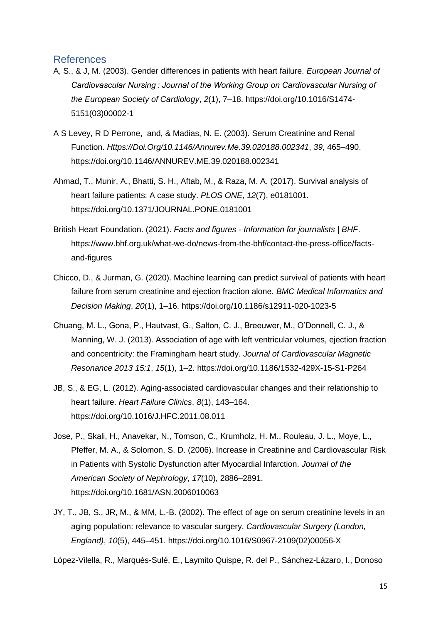#### <span id="page-15-0"></span>References

- A, S., & J, M. (2003). Gender differences in patients with heart failure. *European Journal of Cardiovascular Nursing : Journal of the Working Group on Cardiovascular Nursing of the European Society of Cardiology*, *2*(1), 7–18. https://doi.org/10.1016/S1474- 5151(03)00002-1
- A S Levey, R D Perrone, and, & Madias, N. E. (2003). Serum Creatinine and Renal Function. *Https://Doi.Org/10.1146/Annurev.Me.39.020188.002341*, *39*, 465–490. https://doi.org/10.1146/ANNUREV.ME.39.020188.002341
- Ahmad, T., Munir, A., Bhatti, S. H., Aftab, M., & Raza, M. A. (2017). Survival analysis of heart failure patients: A case study. *PLOS ONE*, *12*(7), e0181001. https://doi.org/10.1371/JOURNAL.PONE.0181001
- British Heart Foundation. (2021). *Facts and figures - Information for journalists | BHF*. https://www.bhf.org.uk/what-we-do/news-from-the-bhf/contact-the-press-office/factsand-figures
- Chicco, D., & Jurman, G. (2020). Machine learning can predict survival of patients with heart failure from serum creatinine and ejection fraction alone. *BMC Medical Informatics and Decision Making*, *20*(1), 1–16. https://doi.org/10.1186/s12911-020-1023-5
- Chuang, M. L., Gona, P., Hautvast, G., Salton, C. J., Breeuwer, M., O'Donnell, C. J., & Manning, W. J. (2013). Association of age with left ventricular volumes, ejection fraction and concentricity: the Framingham heart study. *Journal of Cardiovascular Magnetic Resonance 2013 15:1*, *15*(1), 1–2. https://doi.org/10.1186/1532-429X-15-S1-P264
- JB, S., & EG, L. (2012). Aging-associated cardiovascular changes and their relationship to heart failure. *Heart Failure Clinics*, *8*(1), 143–164. https://doi.org/10.1016/J.HFC.2011.08.011
- Jose, P., Skali, H., Anavekar, N., Tomson, C., Krumholz, H. M., Rouleau, J. L., Moye, L., Pfeffer, M. A., & Solomon, S. D. (2006). Increase in Creatinine and Cardiovascular Risk in Patients with Systolic Dysfunction after Myocardial Infarction. *Journal of the American Society of Nephrology*, *17*(10), 2886–2891. https://doi.org/10.1681/ASN.2006010063
- JY, T., JB, S., JR, M., & MM, L.-B. (2002). The effect of age on serum creatinine levels in an aging population: relevance to vascular surgery. *Cardiovascular Surgery (London, England)*, *10*(5), 445–451. https://doi.org/10.1016/S0967-2109(02)00056-X

López-Vilella, R., Marqués-Sulé, E., Laymito Quispe, R. del P., Sánchez-Lázaro, I., Donoso